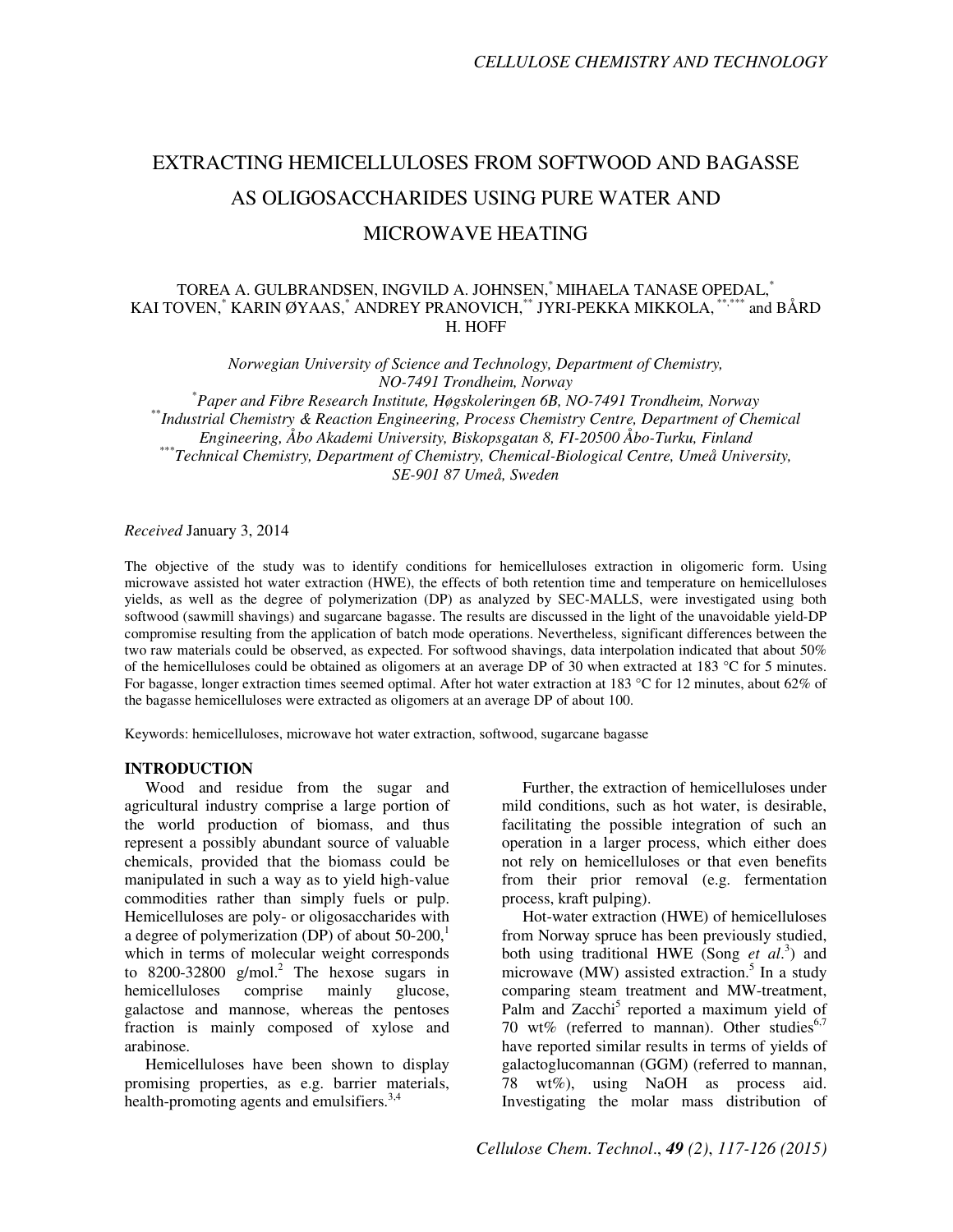# EXTRACTING HEMICELLULOSES FROM SOFTWOOD AND BAGASSE AS OLIGOSACCHARIDES USING PURE WATER AND MICROWAVE HEATING

# TOREA A. GULBRANDSEN, INGVILD A. JOHNSEN,\* MIHAELA TANASE OPEDAL,\* KAI TOVEN, $^*$  KARIN ØYAAS, $^*$  ANDREY PRANOVICH, $^{**}$  JYRI-PEKKA MIKKOLA,  $^{***}$  and BÅRD H. HOFF

*Norwegian University of Science and Technology, Department of Chemistry, NO-7491 Trondheim, Norway*

\**Paper and Fibre Research Institute, Høgskoleringen 6B, NO-7491 Trondheim, Norway*  \*\**Industrial Chemistry & Reaction Engineering, Process Chemistry Centre, Department of Chemical Engineering, Åbo Akademi University, Biskopsgatan 8, FI-20500 Åbo-Turku, Finland*  \*\*\**Technical Chemistry, Department of Chemistry, Chemical-Biological Centre, Umeå University, SE-901 87 Umeå, Sweden* 

*Received* January 3, 2014

The objective of the study was to identify conditions for hemicelluloses extraction in oligomeric form. Using microwave assisted hot water extraction (HWE), the effects of both retention time and temperature on hemicelluloses yields, as well as the degree of polymerization (DP) as analyzed by SEC-MALLS, were investigated using both softwood (sawmill shavings) and sugarcane bagasse. The results are discussed in the light of the unavoidable yield-DP compromise resulting from the application of batch mode operations. Nevertheless, significant differences between the two raw materials could be observed, as expected. For softwood shavings, data interpolation indicated that about 50% of the hemicelluloses could be obtained as oligomers at an average DP of 30 when extracted at 183 °C for 5 minutes. For bagasse, longer extraction times seemed optimal. After hot water extraction at 183 °C for 12 minutes, about 62% of the bagasse hemicelluloses were extracted as oligomers at an average DP of about 100.

Keywords: hemicelluloses, microwave hot water extraction, softwood, sugarcane bagasse

## **INTRODUCTION**

Wood and residue from the sugar and agricultural industry comprise a large portion of the world production of biomass, and thus represent a possibly abundant source of valuable chemicals, provided that the biomass could be manipulated in such a way as to yield high-value commodities rather than simply fuels or pulp. Hemicelluloses are poly- or oligosaccharides with a degree of polymerization (DP) of about  $50-200$ ,<sup>1</sup> which in terms of molecular weight corresponds to  $8200 - 32800$  g/mol.<sup>2</sup> The hexose sugars in hemicelluloses comprise mainly glucose, galactose and mannose, whereas the pentoses fraction is mainly composed of xylose and arabinose.

Hemicelluloses have been shown to display promising properties, as e.g. barrier materials, health-promoting agents and emulsifiers.<sup>3,4</sup>

Further, the extraction of hemicelluloses under mild conditions, such as hot water, is desirable, facilitating the possible integration of such an operation in a larger process, which either does not rely on hemicelluloses or that even benefits from their prior removal (e.g. fermentation process, kraft pulping).

Hot-water extraction (HWE) of hemicelluloses from Norway spruce has been previously studied, both using traditional HWE (Song *et al*. 3 ) and microwave (MW) assisted extraction.<sup>5</sup> In a study comparing steam treatment and MW-treatment, Palm and Zacchi<sup>5</sup> reported a maximum yield of 70 wt% (referred to mannan). Other studies $6,7$ have reported similar results in terms of yields of galactoglucomannan (GGM) (referred to mannan, 78 wt%), using NaOH as process aid. Investigating the molar mass distribution of

*Cellulose Chem*. *Technol*., *49 (2)*, *117-126 (2015)*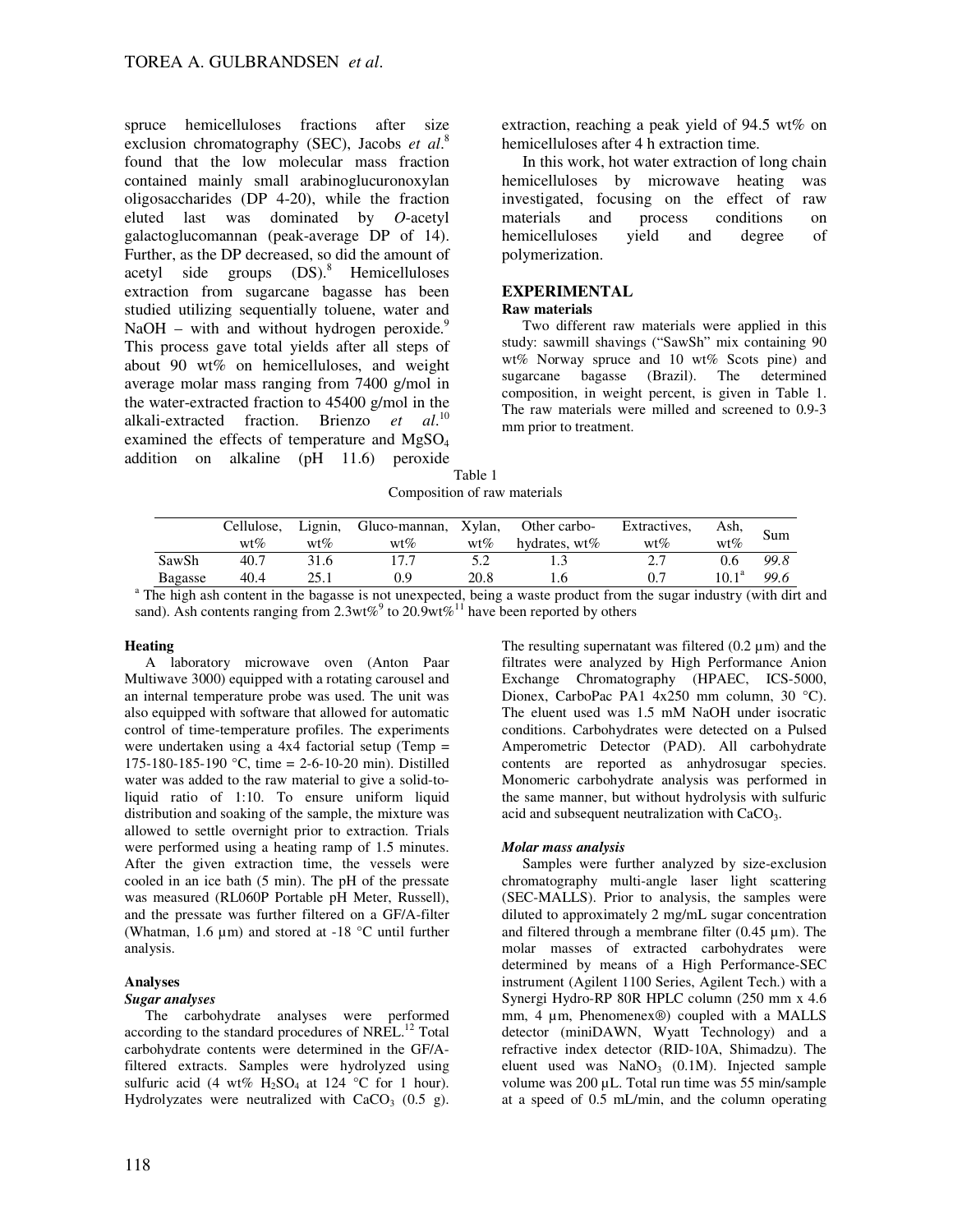spruce hemicelluloses fractions after size exclusion chromatography (SEC), Jacobs *et al*. 8 found that the low molecular mass fraction contained mainly small arabinoglucuronoxylan oligosaccharides (DP 4-20), while the fraction eluted last was dominated by *O*-acetyl galactoglucomannan (peak-average DP of 14). Further, as the DP decreased, so did the amount of acetyl side groups  $(DS)$ .<sup>8</sup> Hemicelluloses extraction from sugarcane bagasse has been studied utilizing sequentially toluene, water and NaOH – with and without hydrogen peroxide. $9$ This process gave total yields after all steps of about 90 wt% on hemicelluloses, and weight average molar mass ranging from 7400 g/mol in the water-extracted fraction to 45400 g/mol in the alkali-extracted fraction. Brienzo *et al*. 10 examined the effects of temperature and  $MgSO<sub>4</sub>$ addition on alkaline (pH 11.6) peroxide

extraction, reaching a peak yield of 94.5 wt% on hemicelluloses after 4 h extraction time.

In this work, hot water extraction of long chain hemicelluloses by microwave heating was investigated, focusing on the effect of raw materials and process conditions on hemicelluloses yield and degree of polymerization.

# **EXPERIMENTAL**

# **Raw materials**

Two different raw materials were applied in this study: sawmill shavings ("SawSh" mix containing 90 wt% Norway spruce and 10 wt% Scots pine) and sugarcane bagasse (Brazil). The determined composition, in weight percent, is given in Table 1. The raw materials were milled and screened to 0.9-3 mm prior to treatment.

Table 1 Composition of raw materials

|         | Cellulose, Lignin, |        | Gluco-mannan, Xylan, Other carbo- |      |                  | Extractives, | Ash.           | Sum  |
|---------|--------------------|--------|-----------------------------------|------|------------------|--------------|----------------|------|
|         | $wt\%$             | $wt\%$ | $wt\%$                            | wt%  | hydrates, $wt\%$ | $wt\%$       | $wt\%$         |      |
| SawSh   | 40.7               | 31.6   |                                   |      |                  |              | 0.6            | 99.8 |
| Bagasse | 40.4               |        | 0.9                               | 20.8 |                  |              | $10.1^{\rm a}$ | 99.6 |

<sup>a</sup> The high ash content in the bagasse is not unexpected, being a waste product from the sugar industry (with dirt and sand). Ash contents ranging from 2.3wt%<sup>9</sup> to 20.9wt%<sup>11</sup> have been reported by others

## **Heating**

A laboratory microwave oven (Anton Paar Multiwave 3000) equipped with a rotating carousel and an internal temperature probe was used. The unit was also equipped with software that allowed for automatic control of time-temperature profiles. The experiments were undertaken using a 4x4 factorial setup (Temp = 175-180-185-190 °C, time = 2-6-10-20 min). Distilled water was added to the raw material to give a solid-toliquid ratio of 1:10. To ensure uniform liquid distribution and soaking of the sample, the mixture was allowed to settle overnight prior to extraction. Trials were performed using a heating ramp of 1.5 minutes. After the given extraction time, the vessels were cooled in an ice bath (5 min). The pH of the pressate was measured (RL060P Portable pH Meter, Russell), and the pressate was further filtered on a GF/A-filter (Whatman, 1.6 µm) and stored at -18 °C until further analysis.

## **Analyses**

## *Sugar analyses*

The carbohydrate analyses were performed according to the standard procedures of NREL.<sup>12</sup> Total carbohydrate contents were determined in the GF/Afiltered extracts. Samples were hydrolyzed using sulfuric acid (4 wt%  $H_2SO_4$  at 124 °C for 1 hour). Hydrolyzates were neutralized with  $CaCO<sub>3</sub>$  (0.5 g). The resulting supernatant was filtered  $(0.2 \mu m)$  and the filtrates were analyzed by High Performance Anion Exchange Chromatography (HPAEC, ICS-5000, Dionex, CarboPac PA1 4x250 mm column, 30 °C). The eluent used was 1.5 mM NaOH under isocratic conditions. Carbohydrates were detected on a Pulsed Amperometric Detector (PAD). All carbohydrate contents are reported as anhydrosugar species. Monomeric carbohydrate analysis was performed in the same manner, but without hydrolysis with sulfuric acid and subsequent neutralization with CaCO<sub>3</sub>.

### *Molar mass analysis*

Samples were further analyzed by size-exclusion chromatography multi-angle laser light scattering (SEC-MALLS). Prior to analysis, the samples were diluted to approximately 2 mg/mL sugar concentration and filtered through a membrane filter  $(0.45 \mu m)$ . The molar masses of extracted carbohydrates were determined by means of a High Performance-SEC instrument (Agilent 1100 Series, Agilent Tech.) with a Synergi Hydro-RP 80R HPLC column (250 mm x 4.6 mm, 4 µm, Phenomenex®) coupled with a MALLS detector (miniDAWN, Wyatt Technology) and a refractive index detector (RID-10A, Shimadzu). The eluent used was  $NaNO<sub>3</sub>$  (0.1M). Injected sample volume was 200 µL. Total run time was 55 min/sample at a speed of 0.5 mL/min, and the column operating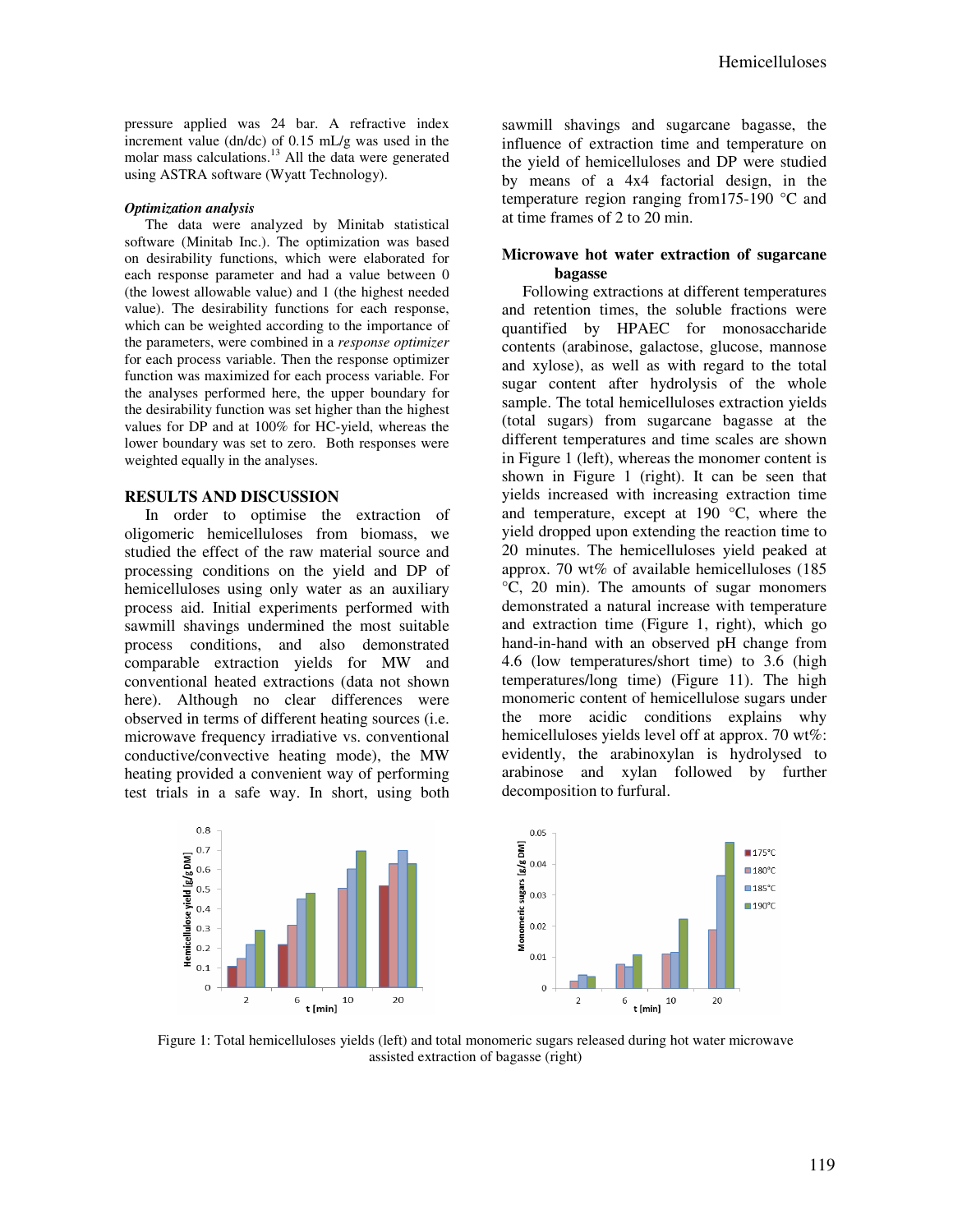pressure applied was 24 bar. A refractive index increment value (dn/dc) of 0.15 mL/g was used in the molar mass calculations.<sup>13</sup> All the data were generated using ASTRA software (Wyatt Technology).

#### *Optimization analysis*

The data were analyzed by Minitab statistical software (Minitab Inc.). The optimization was based on desirability functions, which were elaborated for each response parameter and had a value between 0 (the lowest allowable value) and 1 (the highest needed value). The desirability functions for each response, which can be weighted according to the importance of the parameters, were combined in a *response optimizer* for each process variable. Then the response optimizer function was maximized for each process variable. For the analyses performed here, the upper boundary for the desirability function was set higher than the highest values for DP and at 100% for HC-yield, whereas the lower boundary was set to zero. Both responses were weighted equally in the analyses.

## **RESULTS AND DISCUSSION**

In order to optimise the extraction of oligomeric hemicelluloses from biomass, we studied the effect of the raw material source and processing conditions on the yield and DP of hemicelluloses using only water as an auxiliary process aid. Initial experiments performed with sawmill shavings undermined the most suitable process conditions, and also demonstrated comparable extraction yields for MW and conventional heated extractions (data not shown here). Although no clear differences were observed in terms of different heating sources (i.e. microwave frequency irradiative vs. conventional conductive/convective heating mode), the MW heating provided a convenient way of performing test trials in a safe way. In short, using both

sawmill shavings and sugarcane bagasse, the influence of extraction time and temperature on the yield of hemicelluloses and DP were studied by means of a 4x4 factorial design, in the temperature region ranging from175-190 °C and at time frames of 2 to 20 min.

# **Microwave hot water extraction of sugarcane bagasse**

Following extractions at different temperatures and retention times, the soluble fractions were quantified by HPAEC for monosaccharide contents (arabinose, galactose, glucose, mannose and xylose), as well as with regard to the total sugar content after hydrolysis of the whole sample. The total hemicelluloses extraction yields (total sugars) from sugarcane bagasse at the different temperatures and time scales are shown in Figure 1 (left), whereas the monomer content is shown in Figure 1 (right). It can be seen that yields increased with increasing extraction time and temperature, except at 190 °C, where the yield dropped upon extending the reaction time to 20 minutes. The hemicelluloses yield peaked at approx. 70 wt% of available hemicelluloses (185 °C, 20 min). The amounts of sugar monomers demonstrated a natural increase with temperature and extraction time (Figure 1, right), which go hand-in-hand with an observed pH change from 4.6 (low temperatures/short time) to 3.6 (high temperatures/long time) (Figure 11). The high monomeric content of hemicellulose sugars under the more acidic conditions explains why hemicelluloses yields level off at approx. 70 wt%: evidently, the arabinoxylan is hydrolysed to arabinose and xylan followed by further decomposition to furfural.



Figure 1: Total hemicelluloses yields (left) and total monomeric sugars released during hot water microwave assisted extraction of bagasse (right)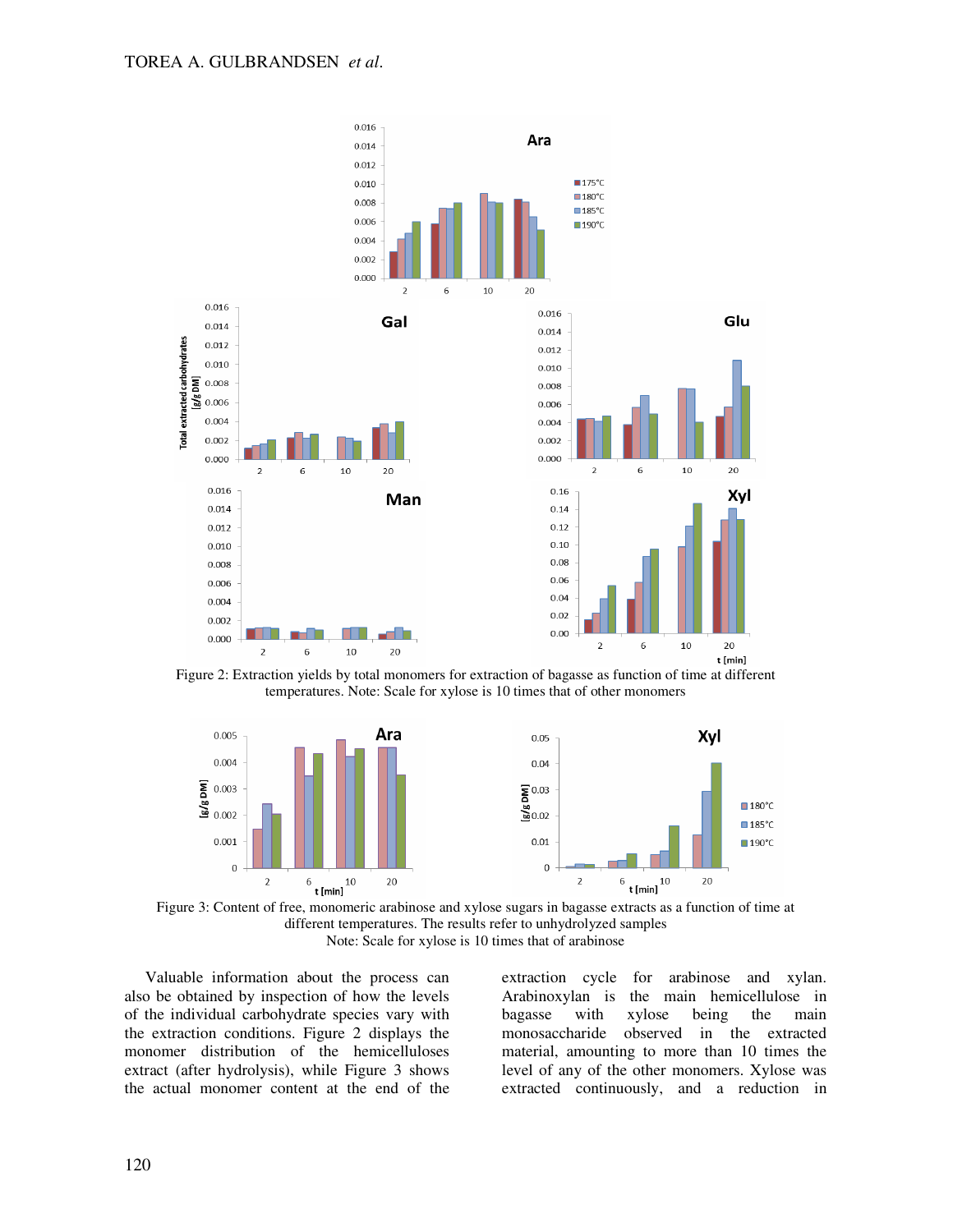

Figure 2: Extraction yields by total monomers for extraction of bagasse as function of time at different temperatures. Note: Scale for xylose is 10 times that of other monomers





Valuable information about the process can also be obtained by inspection of how the levels of the individual carbohydrate species vary with the extraction conditions. Figure 2 displays the monomer distribution of the hemicelluloses extract (after hydrolysis), while Figure 3 shows the actual monomer content at the end of the extraction cycle for arabinose and xylan. Arabinoxylan is the main hemicellulose in bagasse with xylose being the main monosaccharide observed in the extracted material, amounting to more than 10 times the level of any of the other monomers. Xylose was extracted continuously, and a reduction in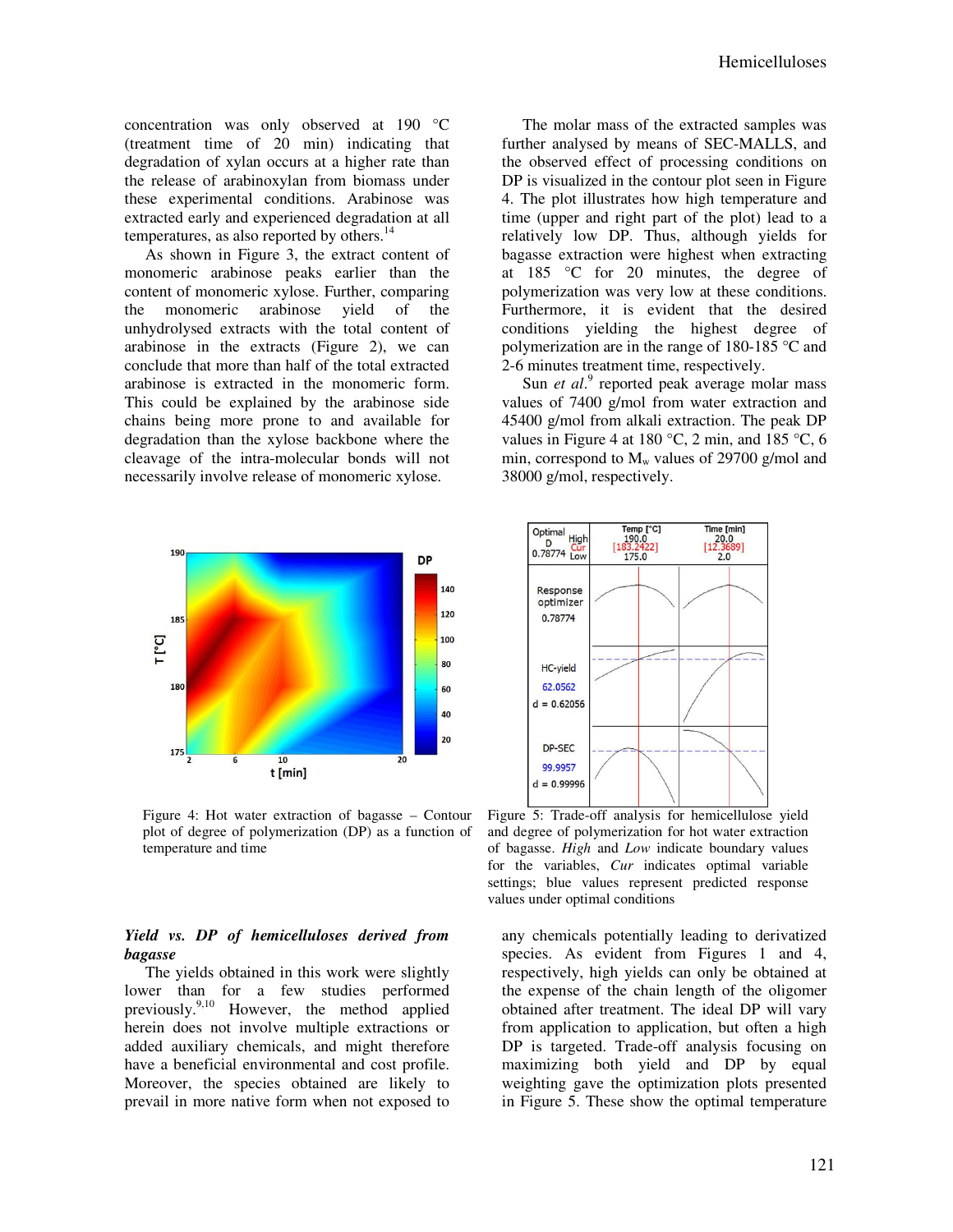concentration was only observed at 190 °C (treatment time of 20 min) indicating that degradation of xylan occurs at a higher rate than the release of arabinoxylan from biomass under these experimental conditions. Arabinose was extracted early and experienced degradation at all temperatures, as also reported by others. $^{14}$ 

As shown in Figure 3, the extract content of monomeric arabinose peaks earlier than the content of monomeric xylose. Further, comparing the monomeric arabinose yield of the unhydrolysed extracts with the total content of arabinose in the extracts (Figure 2), we can conclude that more than half of the total extracted arabinose is extracted in the monomeric form. This could be explained by the arabinose side chains being more prone to and available for degradation than the xylose backbone where the cleavage of the intra-molecular bonds will not necessarily involve release of monomeric xylose.



Figure 4: Hot water extraction of bagasse – Contour plot of degree of polymerization (DP) as a function of temperature and time

## *Yield vs. DP of hemicelluloses derived from bagasse*

The yields obtained in this work were slightly lower than for a few studies performed previously.<sup>9,10</sup> However, the method applied herein does not involve multiple extractions or added auxiliary chemicals, and might therefore have a beneficial environmental and cost profile. Moreover, the species obtained are likely to prevail in more native form when not exposed to

The molar mass of the extracted samples was further analysed by means of SEC-MALLS, and the observed effect of processing conditions on DP is visualized in the contour plot seen in Figure 4. The plot illustrates how high temperature and time (upper and right part of the plot) lead to a relatively low DP. Thus, although yields for bagasse extraction were highest when extracting at 185 °C for 20 minutes, the degree of polymerization was very low at these conditions. Furthermore, it is evident that the desired conditions yielding the highest degree of polymerization are in the range of 180-185 °C and 2-6 minutes treatment time, respectively.

Sun *et al.*<sup>9</sup> reported peak average molar mass values of 7400 g/mol from water extraction and 45400 g/mol from alkali extraction. The peak DP values in Figure 4 at 180 °C, 2 min, and 185 °C, 6 min, correspond to  $M_{w}$  values of 29700 g/mol and 38000 g/mol, respectively.



Figure 5: Trade-off analysis for hemicellulose yield and degree of polymerization for hot water extraction of bagasse. *High* and *Low* indicate boundary values for the variables, *Cur* indicates optimal variable settings; blue values represent predicted response values under optimal conditions

any chemicals potentially leading to derivatized species. As evident from Figures 1 and 4, respectively, high yields can only be obtained at the expense of the chain length of the oligomer obtained after treatment. The ideal DP will vary from application to application, but often a high DP is targeted. Trade-off analysis focusing on maximizing both yield and DP by equal weighting gave the optimization plots presented in Figure 5. These show the optimal temperature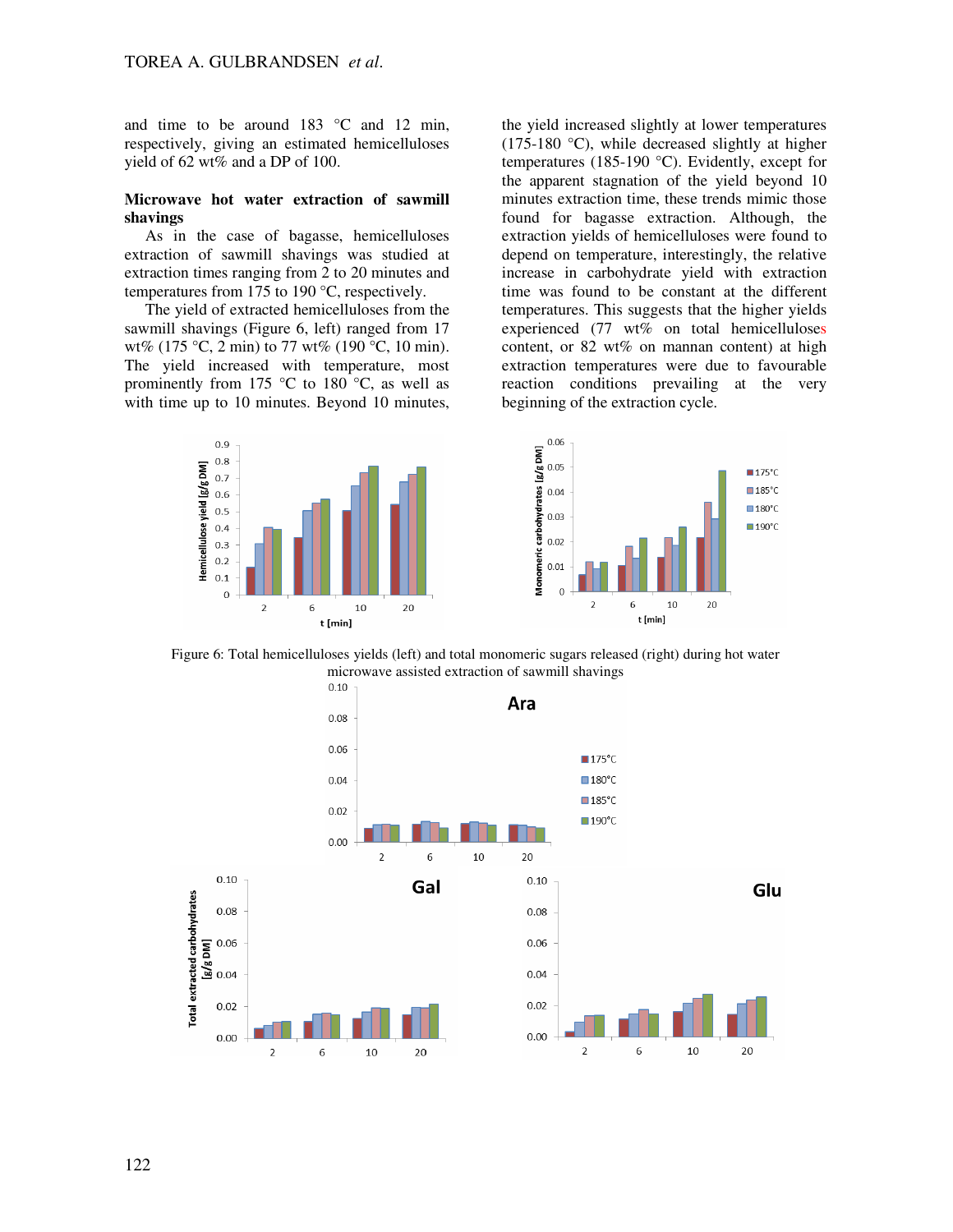and time to be around  $183 \degree C$  and  $12 \text{ min}$ , respectively, giving an estimated hemicelluloses yield of 62 wt% and a DP of 100.

# **Microwave hot water extraction of sawmill shavings**

As in the case of bagasse, hemicelluloses extraction of sawmill shavings was studied at extraction times ranging from 2 to 20 minutes and temperatures from 175 to 190 °C, respectively.

The yield of extracted hemicelluloses from the sawmill shavings (Figure 6, left) ranged from 17 wt% (175 °C, 2 min) to 77 wt% (190 °C, 10 min). The yield increased with temperature, most prominently from 175  $\degree$ C to 180  $\degree$ C, as well as with time up to 10 minutes. Beyond 10 minutes, the yield increased slightly at lower temperatures  $(175-180 \degree C)$ , while decreased slightly at higher temperatures (185-190 °C). Evidently, except for the apparent stagnation of the yield beyond 10 minutes extraction time, these trends mimic those found for bagasse extraction. Although, the extraction yields of hemicelluloses were found to depend on temperature, interestingly, the relative increase in carbohydrate yield with extraction time was found to be constant at the different temperatures. This suggests that the higher yields experienced (77 wt% on total hemicelluloses content, or  $82 \text{ wt\%}$  on mannan content) at high extraction temperatures were due to favourable reaction conditions prevailing at the very beginning of the extraction cycle.





Figure 6: Total hemicelluloses yields (left) and total monomeric sugars released (right) during hot water microwave assisted extraction of sawmill shavings

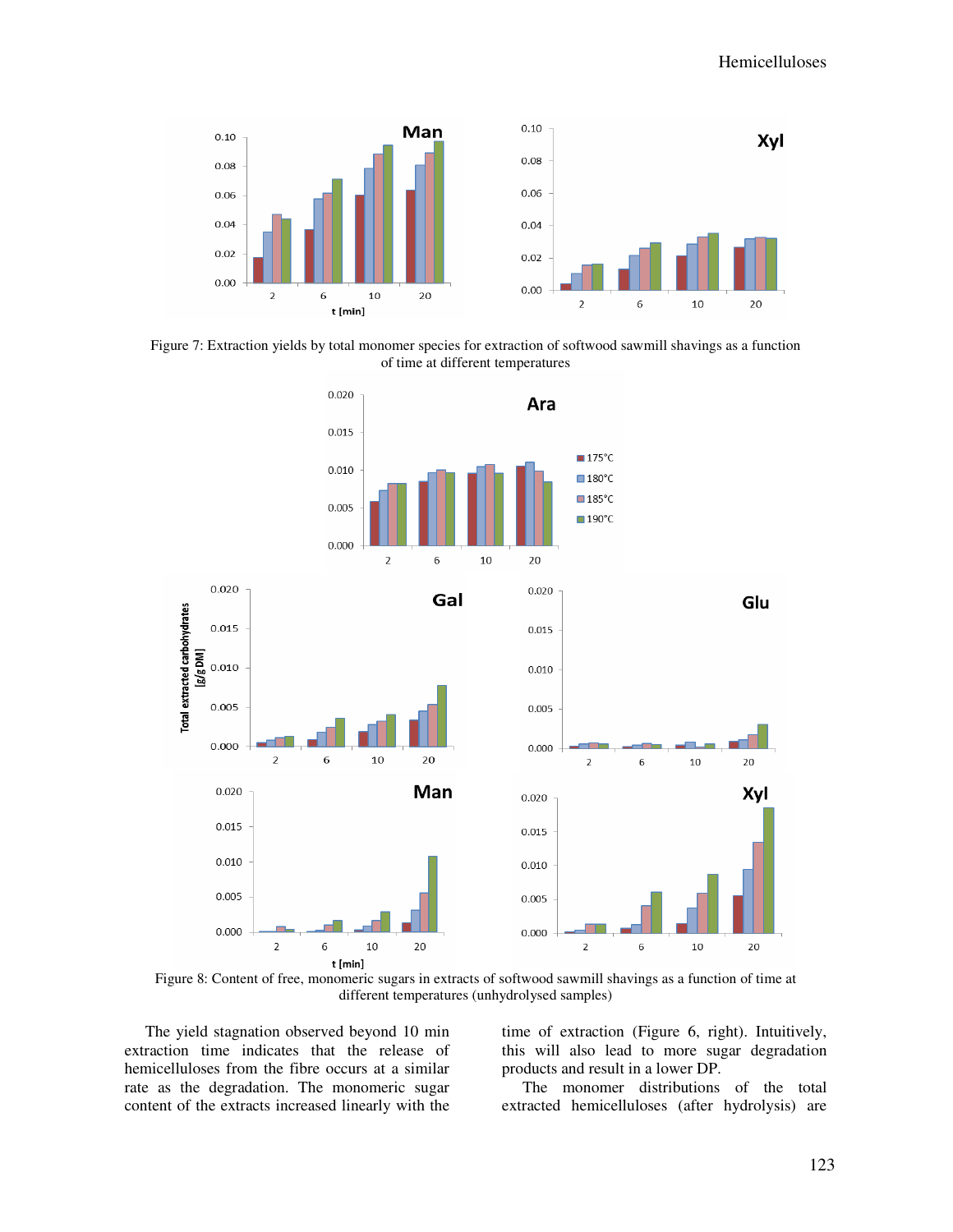

Figure 7: Extraction yields by total monomer species for extraction of softwood sawmill shavings as a function of time at different temperatures



Figure 8: Content of free, monomeric sugars in extracts of softwood sawmill shavings as a function of time at different temperatures (unhydrolysed samples)

The yield stagnation observed beyond 10 min extraction time indicates that the release of hemicelluloses from the fibre occurs at a similar rate as the degradation. The monomeric sugar content of the extracts increased linearly with the

time of extraction (Figure 6, right). Intuitively, this will also lead to more sugar degradation products and result in a lower DP.

The monomer distributions of the total extracted hemicelluloses (after hydrolysis) are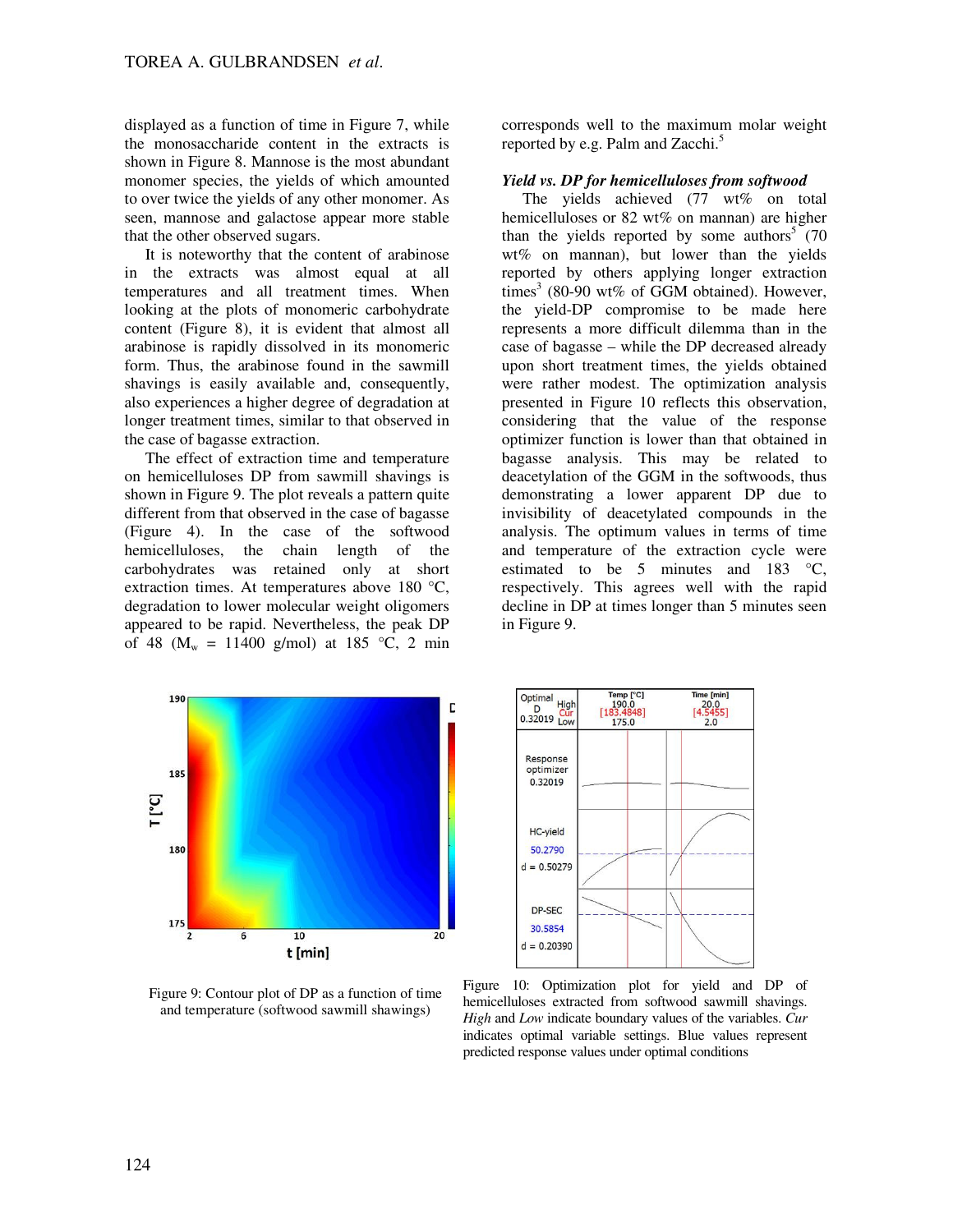displayed as a function of time in Figure 7, while the monosaccharide content in the extracts is shown in Figure 8. Mannose is the most abundant monomer species, the yields of which amounted to over twice the yields of any other monomer. As seen, mannose and galactose appear more stable that the other observed sugars.

It is noteworthy that the content of arabinose in the extracts was almost equal at all temperatures and all treatment times. When looking at the plots of monomeric carbohydrate content (Figure 8), it is evident that almost all arabinose is rapidly dissolved in its monomeric form. Thus, the arabinose found in the sawmill shavings is easily available and, consequently, also experiences a higher degree of degradation at longer treatment times, similar to that observed in the case of bagasse extraction.

The effect of extraction time and temperature on hemicelluloses DP from sawmill shavings is shown in Figure 9. The plot reveals a pattern quite different from that observed in the case of bagasse (Figure 4). In the case of the softwood hemicelluloses, the chain length of the carbohydrates was retained only at short extraction times. At temperatures above 180 °C, degradation to lower molecular weight oligomers appeared to be rapid. Nevertheless, the peak DP of 48 ( $M_w = 11400$  g/mol) at 185 °C, 2 min corresponds well to the maximum molar weight reported by e.g. Palm and Zacchi.<sup>5</sup>

# *Yield vs. DP for hemicelluloses from softwood*

The yields achieved (77 wt% on total hemicelluloses or 82 wt% on mannan) are higher than the yields reported by some authors<sup>5</sup> (70) wt% on mannan), but lower than the yields reported by others applying longer extraction times<sup>3</sup> (80-90 wt% of GGM obtained). However, the yield-DP compromise to be made here represents a more difficult dilemma than in the case of bagasse – while the DP decreased already upon short treatment times, the yields obtained were rather modest. The optimization analysis presented in Figure 10 reflects this observation, considering that the value of the response optimizer function is lower than that obtained in bagasse analysis. This may be related to deacetylation of the GGM in the softwoods, thus demonstrating a lower apparent DP due to invisibility of deacetylated compounds in the analysis. The optimum values in terms of time and temperature of the extraction cycle were estimated to be 5 minutes and 183 °C, respectively. This agrees well with the rapid decline in DP at times longer than 5 minutes seen in Figure 9.



Figure 9: Contour plot of DP as a function of time and temperature (softwood sawmill shawings)



Figure 10: Optimization plot for yield and DP of hemicelluloses extracted from softwood sawmill shavings. *High* and *Low* indicate boundary values of the variables. *Cur* indicates optimal variable settings. Blue values represent predicted response values under optimal conditions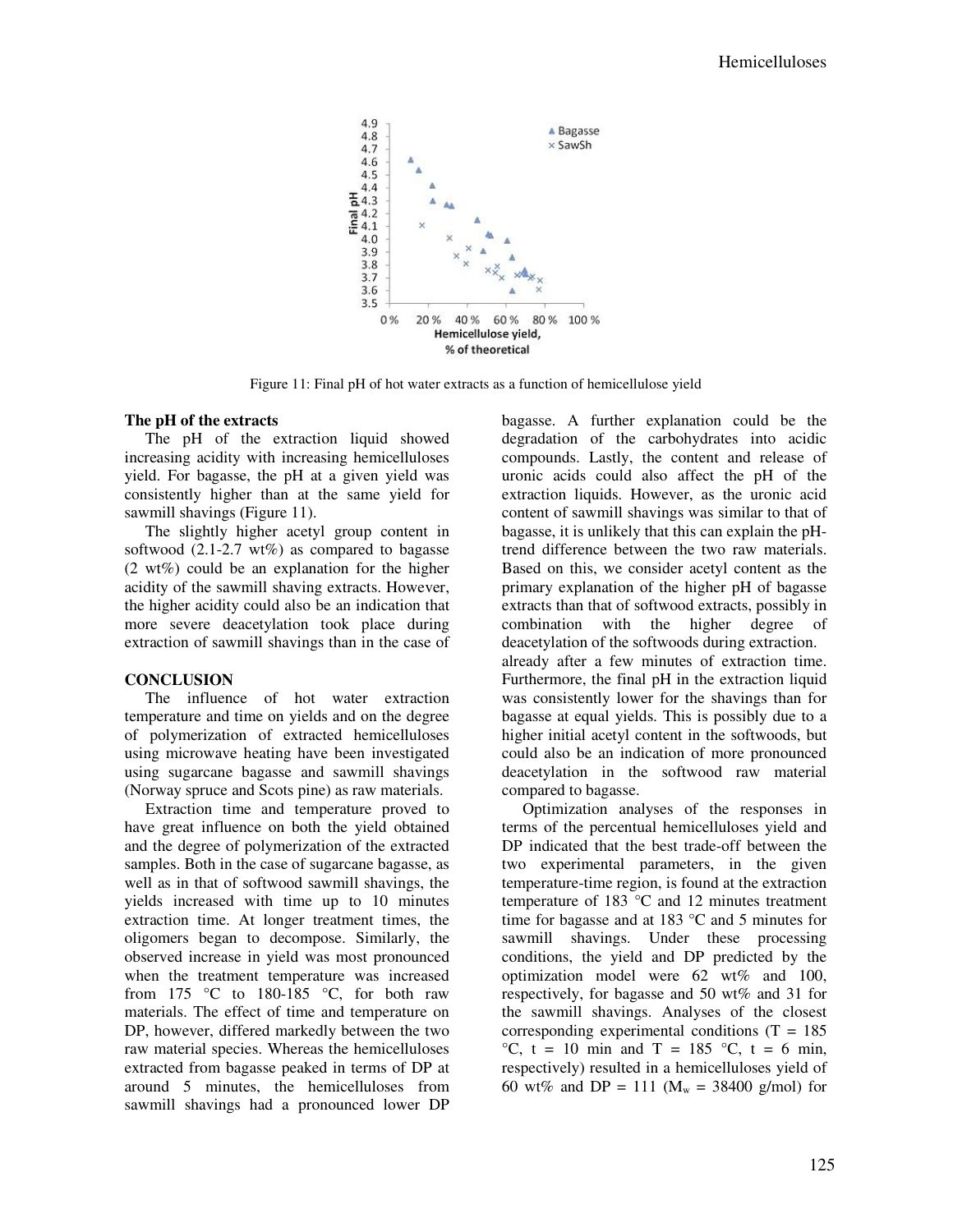

Figure 11: Final pH of hot water extracts as a function of hemicellulose yield

# **The pH of the extracts**

The pH of the extraction liquid showed increasing acidity with increasing hemicelluloses yield. For bagasse, the pH at a given yield was consistently higher than at the same yield for sawmill shavings (Figure 11).

The slightly higher acetyl group content in softwood  $(2.1-2.7 \text{ wt\%)}$  as compared to bagasse (2 wt%) could be an explanation for the higher acidity of the sawmill shaving extracts. However, the higher acidity could also be an indication that more severe deacetylation took place during extraction of sawmill shavings than in the case of

# **CONCLUSION**

The influence of hot water extraction temperature and time on yields and on the degree of polymerization of extracted hemicelluloses using microwave heating have been investigated using sugarcane bagasse and sawmill shavings (Norway spruce and Scots pine) as raw materials.

Extraction time and temperature proved to have great influence on both the yield obtained and the degree of polymerization of the extracted samples. Both in the case of sugarcane bagasse, as well as in that of softwood sawmill shavings, the yields increased with time up to 10 minutes extraction time. At longer treatment times, the oligomers began to decompose. Similarly, the observed increase in yield was most pronounced when the treatment temperature was increased from 175 °C to 180-185 °C, for both raw materials. The effect of time and temperature on DP, however, differed markedly between the two raw material species. Whereas the hemicelluloses extracted from bagasse peaked in terms of DP at around 5 minutes, the hemicelluloses from sawmill shavings had a pronounced lower DP

bagasse. A further explanation could be the degradation of the carbohydrates into acidic compounds. Lastly, the content and release of uronic acids could also affect the pH of the extraction liquids. However, as the uronic acid content of sawmill shavings was similar to that of bagasse, it is unlikely that this can explain the pHtrend difference between the two raw materials. Based on this, we consider acetyl content as the primary explanation of the higher pH of bagasse extracts than that of softwood extracts, possibly in combination with the higher degree of deacetylation of the softwoods during extraction. already after a few minutes of extraction time. Furthermore, the final pH in the extraction liquid was consistently lower for the shavings than for bagasse at equal yields. This is possibly due to a higher initial acetyl content in the softwoods, but could also be an indication of more pronounced deacetylation in the softwood raw material compared to bagasse.

Optimization analyses of the responses in terms of the percentual hemicelluloses yield and DP indicated that the best trade-off between the two experimental parameters, in the given temperature-time region, is found at the extraction temperature of 183 °C and 12 minutes treatment time for bagasse and at 183 °C and 5 minutes for sawmill shavings. Under these processing conditions, the yield and DP predicted by the optimization model were 62 wt% and 100, respectively, for bagasse and 50 wt% and 31 for the sawmill shavings. Analyses of the closest corresponding experimental conditions  $(T = 185)$  $\mathrm{C}^{\circ}\mathrm{C}$ , t = 10 min and T = 185  $\mathrm{C}^{\circ}\mathrm{C}$ , t = 6 min, respectively) resulted in a hemicelluloses yield of 60 wt% and DP = 111 ( $M_w = 38400$  g/mol) for